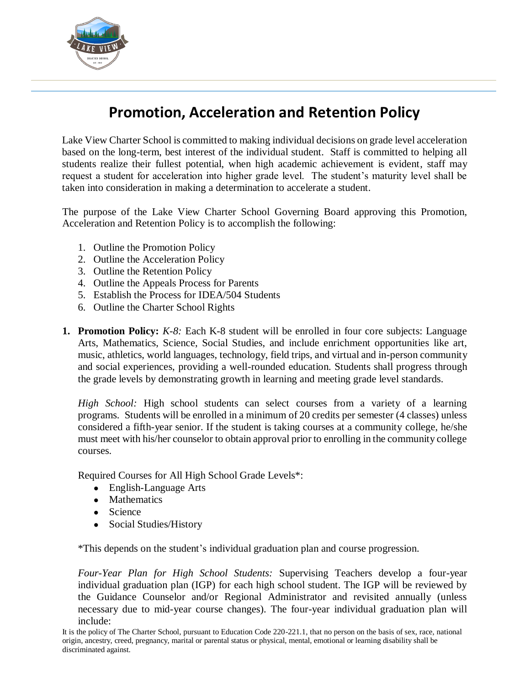

# **Promotion, Acceleration and Retention Policy**

Lake View Charter School is committed to making individual decisions on grade level acceleration based on the long-term, best interest of the individual student. Staff is committed to helping all students realize their fullest potential, when high academic achievement is evident, staff may request a student for acceleration into higher grade level. The student's maturity level shall be taken into consideration in making a determination to accelerate a student.

The purpose of the Lake View Charter School Governing Board approving this Promotion, Acceleration and Retention Policy is to accomplish the following:

- 1. Outline the Promotion Policy
- 2. Outline the Acceleration Policy
- 3. Outline the Retention Policy
- 4. Outline the Appeals Process for Parents
- 5. Establish the Process for IDEA/504 Students
- 6. Outline the Charter School Rights
- **1. Promotion Policy:** *K-8:* Each K-8 student will be enrolled in four core subjects: Language Arts, Mathematics, Science, Social Studies, and include enrichment opportunities like art, music, athletics, world languages, technology, field trips, and virtual and in-person community and social experiences, providing a well-rounded education. Students shall progress through the grade levels by demonstrating growth in learning and meeting grade level standards.

*High School:* High school students can select courses from a variety of a learning programs. Students will be enrolled in a minimum of 20 credits per semester (4 classes) unless considered a fifth-year senior. If the student is taking courses at a community college, he/she must meet with his/her counselor to obtain approval prior to enrolling in the community college courses.

Required Courses for All High School Grade Levels\*:

- English-Language Arts
- Mathematics
- Science
- Social Studies/History

\*This depends on the student's individual graduation plan and course progression.

*Four-Year Plan for High School Students:* Supervising Teachers develop a four-year individual graduation plan (IGP) for each high school student. The IGP will be reviewed by the Guidance Counselor and/or Regional Administrator and revisited annually (unless necessary due to mid-year course changes). The four-year individual graduation plan will include: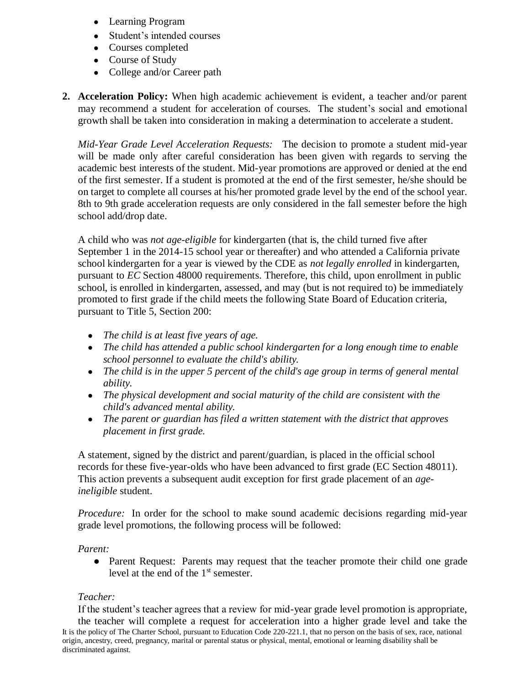- Learning Program
- Student's intended courses
- Courses completed
- Course of Study
- College and/or Career path
- **2. Acceleration Policy:** When high academic achievement is evident, a teacher and/or parent may recommend a student for acceleration of courses. The student's social and emotional growth shall be taken into consideration in making a determination to accelerate a student.

*Mid-Year Grade Level Acceleration Requests:* The decision to promote a student mid-year will be made only after careful consideration has been given with regards to serving the academic best interests of the student. Mid-year promotions are approved or denied at the end of the first semester. If a student is promoted at the end of the first semester, he/she should be on target to complete all courses at his/her promoted grade level by the end of the school year. 8th to 9th grade acceleration requests are only considered in the fall semester before the high school add/drop date.

A child who was *not age-eligible* for kindergarten (that is, the child turned five after September 1 in the 2014-15 school year or thereafter) and who attended a California private school kindergarten for a year is viewed by the CDE as *not legally enrolled* in kindergarten, pursuant to *EC* Section 48000 requirements. Therefore, this child, upon enrollment in public school, is enrolled in kindergarten, assessed, and may (but is not required to) be immediately promoted to first grade if the child meets the following State Board of Education criteria, pursuant to Title 5, Section 200:

- *The child is at least five years of age.*
- *The child has attended a public school kindergarten for a long enough time to enable school personnel to evaluate the child's ability.*
- *The child is in the upper 5 percent of the child's age group in terms of general mental ability.*
- *The physical development and social maturity of the child are consistent with the child's advanced mental ability.*
- *The parent or guardian has filed a written statement with the district that approves placement in first grade.*

A statement, signed by the district and parent/guardian, is placed in the official school records for these five-year-olds who have been advanced to first grade (EC Section 48011). This action prevents a subsequent audit exception for first grade placement of an *ageineligible* student.

*Procedure:* In order for the school to make sound academic decisions regarding mid-year grade level promotions, the following process will be followed:

#### *Parent:*

• Parent Request: Parents may request that the teacher promote their child one grade level at the end of the 1<sup>st</sup> semester.

#### *Teacher:*

It is the policy of The Charter School, pursuant to Education Code 220-221.1, that no person on the basis of sex, race, national origin, ancestry, creed, pregnancy, marital or parental status or physical, mental, emotional or learning disability shall be discriminated against. If the student's teacher agrees that a review for mid-year grade level promotion is appropriate, the teacher will complete a request for acceleration into a higher grade level and take the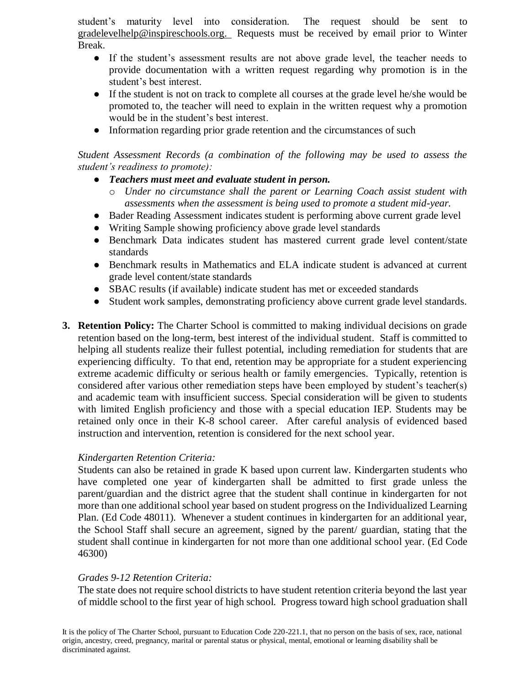student's maturity level into consideration. The request should be sent to gradelevelhelp@inspireschools.org. Requests must be received by email prior to Winter Break.

- If the student's assessment results are not above grade level, the teacher needs to provide documentation with a written request regarding why promotion is in the student's best interest.
- If the student is not on track to complete all courses at the grade level he/she would be promoted to, the teacher will need to explain in the written request why a promotion would be in the student's best interest.
- Information regarding prior grade retention and the circumstances of such

*Student Assessment Records (a combination of the following may be used to assess the student's readiness to promote):*

- *Teachers must meet and evaluate student in person.* 
	- o *Under no circumstance shall the parent or Learning Coach assist student with assessments when the assessment is being used to promote a student mid-year.*
- Bader Reading Assessment indicates student is performing above current grade level
- Writing Sample showing proficiency above grade level standards
- Benchmark Data indicates student has mastered current grade level content/state standards
- Benchmark results in Mathematics and ELA indicate student is advanced at current grade level content/state standards
- SBAC results (if available) indicate student has met or exceeded standards
- Student work samples, demonstrating proficiency above current grade level standards.
- **3. Retention Policy:** The Charter School is committed to making individual decisions on grade retention based on the long-term, best interest of the individual student. Staff is committed to helping all students realize their fullest potential, including remediation for students that are experiencing difficulty. To that end, retention may be appropriate for a student experiencing extreme academic difficulty or serious health or family emergencies. Typically, retention is considered after various other remediation steps have been employed by student's teacher(s) and academic team with insufficient success. Special consideration will be given to students with limited English proficiency and those with a special education IEP. Students may be retained only once in their K-8 school career. After careful analysis of evidenced based instruction and intervention, retention is considered for the next school year.

## *Kindergarten Retention Criteria:*

Students can also be retained in grade K based upon current law. Kindergarten students who have completed one year of kindergarten shall be admitted to first grade unless the parent/guardian and the district agree that the student shall continue in kindergarten for not more than one additional school year based on student progress on the Individualized Learning Plan. (Ed Code 48011). Whenever a student continues in kindergarten for an additional year, the School Staff shall secure an agreement, signed by the parent/ guardian, stating that the student shall continue in kindergarten for not more than one additional school year. (Ed Code 46300)

## *Grades 9-12 Retention Criteria:*

The state does not require school districts to have student retention criteria beyond the last year of middle school to the first year of high school. Progress toward high school graduation shall

It is the policy of The Charter School, pursuant to Education Code 220-221.1, that no person on the basis of sex, race, national origin, ancestry, creed, pregnancy, marital or parental status or physical, mental, emotional or learning disability shall be discriminated against.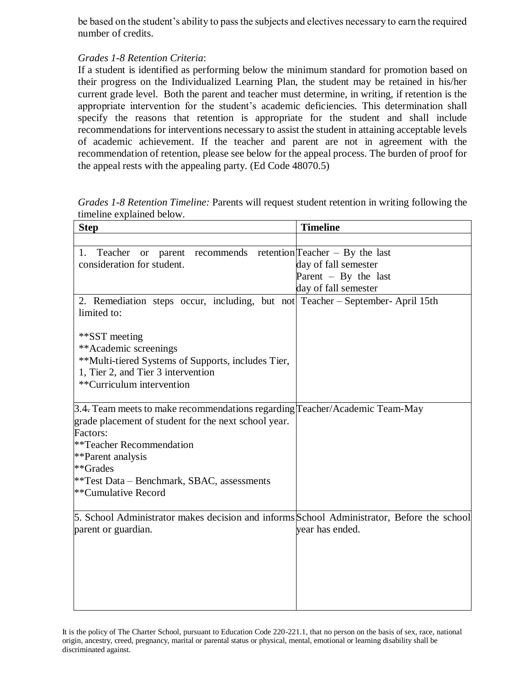be based on the student's ability to pass the subjects and electives necessary to earn the required number of credits.

## *Grades 1-8 Retention Criteria*:

If a student is identified as performing below the minimum standard for promotion based on their progress on the Individualized Learning Plan, the student may be retained in his/her current grade level. Both the parent and teacher must determine, in writing, if retention is the appropriate intervention for the student's academic deficiencies. This determination shall specify the reasons that retention is appropriate for the student and shall include recommendations for interventions necessary to assist the student in attaining acceptable levels of academic achievement. If the teacher and parent are not in agreement with the recommendation of retention, please see below for the appeal process. The burden of proof for the appeal rests with the appealing party. (Ed Code 48070.5)

*Grades 1-8 Retention Timeline:* Parents will request student retention in writing following the timeline explained below.

| <b>Step</b>                                                                                                                                                                                                                                                                       | <b>Timeline</b>        |
|-----------------------------------------------------------------------------------------------------------------------------------------------------------------------------------------------------------------------------------------------------------------------------------|------------------------|
|                                                                                                                                                                                                                                                                                   |                        |
| recommends retention Teacher $-$ By the last<br>Teacher<br>1.<br>parent<br><b>or</b><br>consideration for student.                                                                                                                                                                | day of fall semester   |
|                                                                                                                                                                                                                                                                                   | Parent $-$ By the last |
|                                                                                                                                                                                                                                                                                   | day of fall semester   |
| 2. Remediation steps occur, including, but not Teacher - September- April 15th<br>limited to:                                                                                                                                                                                     |                        |
| **SST meeting<br>**Academic screenings<br>**Multi-tiered Systems of Supports, includes Tier,<br>1, Tier 2, and Tier 3 intervention<br>**Curriculum intervention                                                                                                                   |                        |
| 3.4. Team meets to make recommendations regarding Teacher/Academic Team-May<br>grade placement of student for the next school year.<br>Factors:<br>**Teacher Recommendation<br>**Parent analysis<br>**Grades<br>**Test Data – Benchmark, SBAC, assessments<br>**Cumulative Record |                        |
| 5. School Administrator makes decision and informs School Administrator, Before the school<br>parent or guardian.                                                                                                                                                                 | year has ended.        |

It is the policy of The Charter School, pursuant to Education Code 220-221.1, that no person on the basis of sex, race, national origin, ancestry, creed, pregnancy, marital or parental status or physical, mental, emotional or learning disability shall be discriminated against.